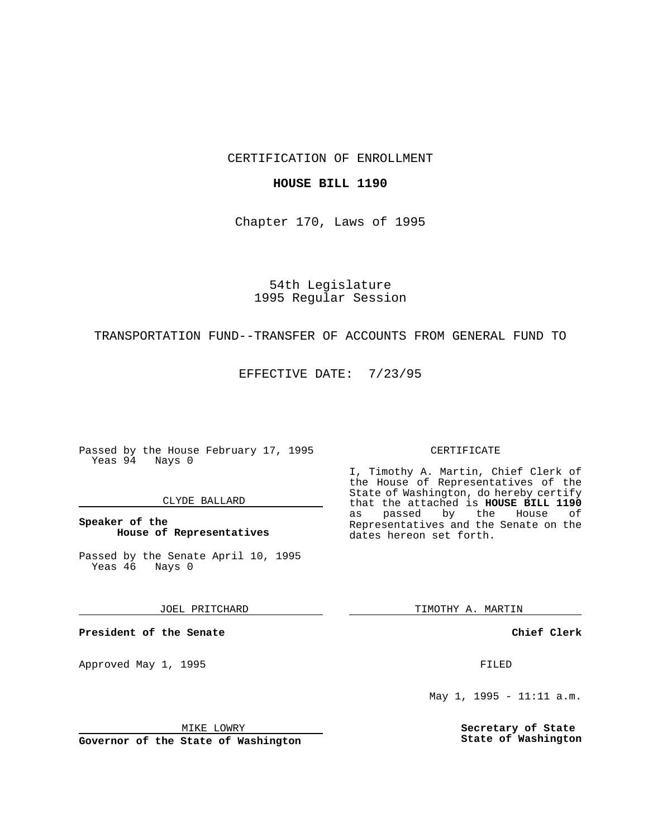CERTIFICATION OF ENROLLMENT

## **HOUSE BILL 1190**

Chapter 170, Laws of 1995

54th Legislature 1995 Regular Session

## TRANSPORTATION FUND--TRANSFER OF ACCOUNTS FROM GENERAL FUND TO

EFFECTIVE DATE: 7/23/95

Passed by the House February 17, 1995 Yeas 94 Nays 0

### CLYDE BALLARD

**Speaker of the House of Representatives**

Passed by the Senate April 10, 1995<br>Yeas 46 Nays 0 Yeas 46

JOEL PRITCHARD

**President of the Senate**

Approved May 1, 1995 **FILED** 

MIKE LOWRY

**Governor of the State of Washington**

#### CERTIFICATE

I, Timothy A. Martin, Chief Clerk of the House of Representatives of the State of Washington, do hereby certify that the attached is **HOUSE BILL 1190** as passed by the Representatives and the Senate on the dates hereon set forth.

TIMOTHY A. MARTIN

**Chief Clerk**

May 1, 1995 - 11:11 a.m.

**Secretary of State State of Washington**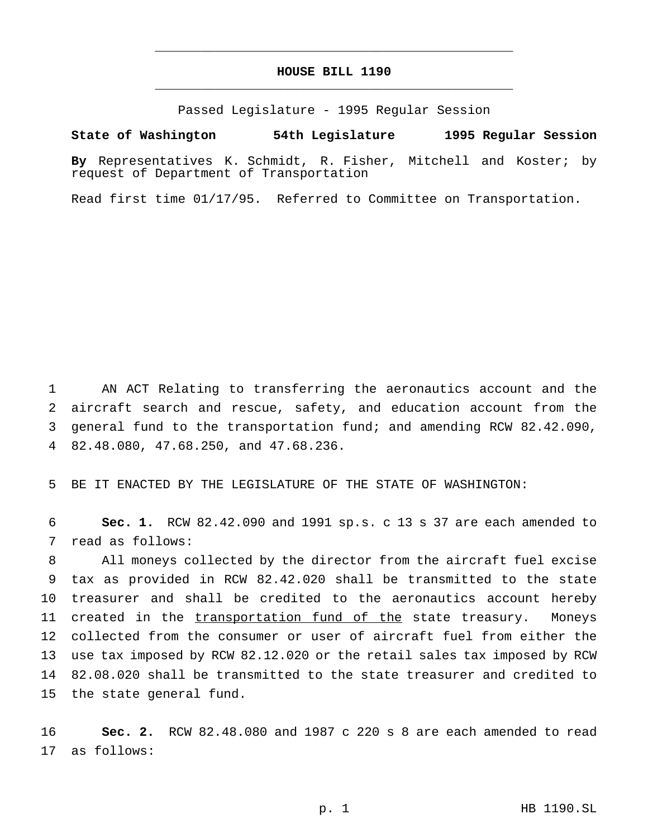# **HOUSE BILL 1190** \_\_\_\_\_\_\_\_\_\_\_\_\_\_\_\_\_\_\_\_\_\_\_\_\_\_\_\_\_\_\_\_\_\_\_\_\_\_\_\_\_\_\_\_\_\_\_

\_\_\_\_\_\_\_\_\_\_\_\_\_\_\_\_\_\_\_\_\_\_\_\_\_\_\_\_\_\_\_\_\_\_\_\_\_\_\_\_\_\_\_\_\_\_\_

Passed Legislature - 1995 Regular Session

#### **State of Washington 54th Legislature 1995 Regular Session**

**By** Representatives K. Schmidt, R. Fisher, Mitchell and Koster; by request of Department of Transportation

Read first time 01/17/95. Referred to Committee on Transportation.

 AN ACT Relating to transferring the aeronautics account and the aircraft search and rescue, safety, and education account from the general fund to the transportation fund; and amending RCW 82.42.090, 82.48.080, 47.68.250, and 47.68.236.

BE IT ENACTED BY THE LEGISLATURE OF THE STATE OF WASHINGTON:

 **Sec. 1.** RCW 82.42.090 and 1991 sp.s. c 13 s 37 are each amended to read as follows:

 All moneys collected by the director from the aircraft fuel excise tax as provided in RCW 82.42.020 shall be transmitted to the state treasurer and shall be credited to the aeronautics account hereby created in the transportation fund of the state treasury. Moneys collected from the consumer or user of aircraft fuel from either the use tax imposed by RCW 82.12.020 or the retail sales tax imposed by RCW 82.08.020 shall be transmitted to the state treasurer and credited to the state general fund.

 **Sec. 2.** RCW 82.48.080 and 1987 c 220 s 8 are each amended to read as follows: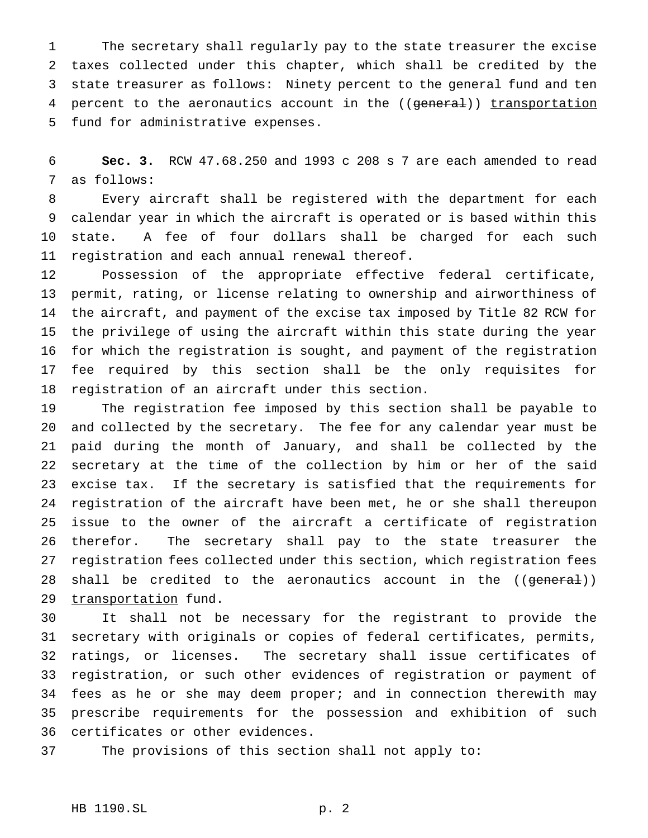The secretary shall regularly pay to the state treasurer the excise taxes collected under this chapter, which shall be credited by the state treasurer as follows: Ninety percent to the general fund and ten 4 percent to the aeronautics account in the ((general)) transportation fund for administrative expenses.

 **Sec. 3.** RCW 47.68.250 and 1993 c 208 s 7 are each amended to read as follows:

 Every aircraft shall be registered with the department for each calendar year in which the aircraft is operated or is based within this state. A fee of four dollars shall be charged for each such registration and each annual renewal thereof.

 Possession of the appropriate effective federal certificate, permit, rating, or license relating to ownership and airworthiness of the aircraft, and payment of the excise tax imposed by Title 82 RCW for the privilege of using the aircraft within this state during the year for which the registration is sought, and payment of the registration fee required by this section shall be the only requisites for registration of an aircraft under this section.

 The registration fee imposed by this section shall be payable to and collected by the secretary. The fee for any calendar year must be paid during the month of January, and shall be collected by the secretary at the time of the collection by him or her of the said excise tax. If the secretary is satisfied that the requirements for registration of the aircraft have been met, he or she shall thereupon issue to the owner of the aircraft a certificate of registration therefor. The secretary shall pay to the state treasurer the registration fees collected under this section, which registration fees 28 shall be credited to the aeronautics account in the ((general)) 29 transportation fund.

 It shall not be necessary for the registrant to provide the secretary with originals or copies of federal certificates, permits, ratings, or licenses. The secretary shall issue certificates of registration, or such other evidences of registration or payment of 34 fees as he or she may deem proper; and in connection therewith may prescribe requirements for the possession and exhibition of such certificates or other evidences.

The provisions of this section shall not apply to: